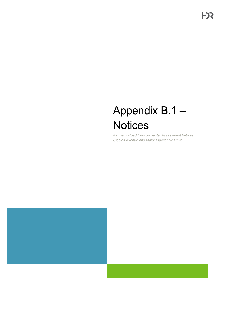# Appendix B.1 – **Notices**

*Kennedy Road Environmental Assessment between Steeles Avenue and Major Mackenzie Drive* 



**FDR**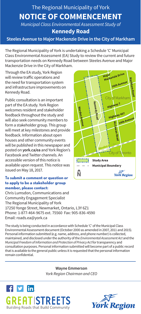## The Regional Municipality of York **NOTICE OF COMMENCEMENT**  *Municipal Class Environmental Assessment Study of*

**Kennedy Road** 

### **Steeles Avenue to Major Mackenzie Drive in the City of Markham**

The Regional Municipality of York is undertaking a Schedule 'C' Municipal Class Environmental Assessment (EA) Study to review the current and future transportation needs on Kennedy Road between Steeles Avenue and Major Mackenzie Drive in the City of Markham.

Through the EA study, York Region will review traffic operations and the need for transportation system and infrastructure improvements on Kennedy Road.

Public consultation is an important part of the EA study. York Region welcomes resident and stakeholder feedback throughout the study and will also seek community members to form a stakeholder group. This group will meet at key milestones and provide feedback. Information about open houses and other community events will be published in this newspaper and posted on **york.ca/ea** and York Region's Facebook and Twitter channels. An accessible version of this notice is available upon request. This notice was issued on May 18, 2017.

#### **To submit a comment or question or to apply to be a stakeholder group member, please contact:**

Chris Lumsdon, Communications and Community Engagement Specialist The Regional Municipality of York 17250 Yonge Street, Newmarket, Ontario, L3Y 6Z1 Phone: 1-877-464-9675 ext. 75560 Fax: 905-836-4590 Email: [roads.ea@york.ca](mailto:roads.ea@york.ca)



**Wayne Emmerson**  *York Region Chairman and CEO* 





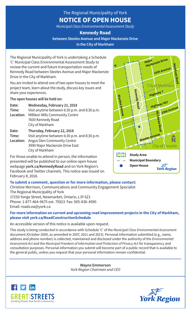### The Regional Municipality of York **NOTICE OF OPEN HOUSE**

*Municipal Class Environmental Assessment Study* 

### **Kennedy Road between Steeles Avenue and Major Mackenzie Drive in the City of Markham**

The Regional Municipality of York is undertaking a Schedule 'C' Municipal Class Environmental Assessment Study to review the current and future transportation needs of Kennedy Road between Steeles Avenue and Major Mackenzie Drive in the City of Markham.

You are invited to attend one of two open houses to meet the project team, learn about the study, discuss key issues and share your experiences.

**The open houses will be held on:** 

| <b>Data:</b> | Thursday Fahrismen 2010                       |
|--------------|-----------------------------------------------|
|              | City of Markham                               |
|              | 7600 Kennedy Road                             |
| Location:    | Milliken Mills Community Centre               |
| Time:        | Visit anytime between 6:30 p.m. and 8:30 p.m. |
| Date:        | Wednesday, February 21, 2018                  |
|              |                                               |

Date: Time: **Date: Thursday, February 22, 2018 Time:** Visit anytime between 6:30 p.m. and 8:30 p.m. **Location:** Angus Glen Community Centre 3990 Major Mackenzie Drive East City of Markham

For those unable to attend in person, the information presented will be published to our online open house webpage **york.ca/KennedyRoad** and on York Region's Facebook and Twitter channels. This notice was issued on February 8, 2018.



### **To submit a comment, question or for more information, please contact:**

Christine Morrison, Communications and Community Engagement Specialist The Regional Municipality of York 17250 Yonge Street, Newmarket, Ontario, L3Y 6Z1

Phone: 1-877-464-9675 ext. 75923 Fax: 905-836-4590 Email: [roads.ea@york.ca](mailto:roads.ea@york.ca) 

### **For more information on current and upcoming road improvement projects in the City of Markham, please visit york.ca/RoadConstructionSchedule**

An accessible version of this notice is available upon request.

This study is being conducted in accordance with Schedule 'C' of the *Municipal Class Environmental Assessment*  document (October 2000, as amended in 2007, 2011 and 2015). Personal information submitted (e.g., name, address and phone number) is collected, maintained and disclosed under the authority of the *Environmental Assessment Act* and the *Municipal Freedom of Information and Protection of Privacy Act* for transparency and consultation purposes. Personal information you submit will become part of a public record that is available to the general public, unless you request that your personal information remain confidential.

> **Wayne Emmerson**  *York Region Chairman and CEO*